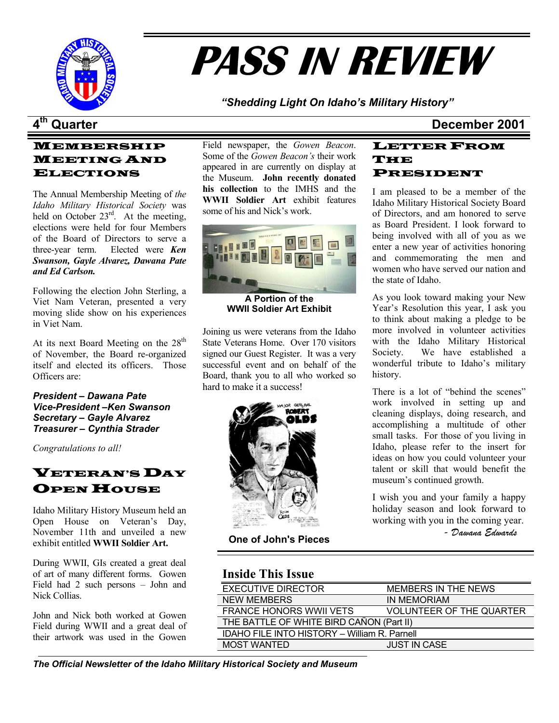

# **PASS IN REVIEW**

*"Shedding Light On Idaho's Military History"* 

# MEMBERSHIP MEETING AND ELECTIONS

The Annual Membership Meeting of *the Idaho Military Historical Society* was held on October  $23<sup>rd</sup>$ . At the meeting, elections were held for four Members of the Board of Directors to serve a three-year term. Elected were *Ken Swanson, Gayle Alvarez, Dawana Pate and Ed Carlson.*

Following the election John Sterling, a Viet Nam Veteran, presented a very moving slide show on his experiences in Viet Nam.

At its next Board Meeting on the  $28<sup>th</sup>$ of November, the Board re-organized itself and elected its officers. Those Officers are:

*President – Dawana Pate Vice-President –Ken Swanson Secretary – Gayle Alvarez Treasurer – Cynthia Strader*

*Congratulations to all!*

# **VETERAN'S DAY OPEN HOUSE**

Idaho Military History Museum held an Open House on Veteran's Day, November 11th and unveiled a new exhibit entitled **WWII Soldier Art.** 

During WWII, GIs created a great deal of art of many different forms. Gowen Field had 2 such persons – John and Nick Collias.

John and Nick both worked at Gowen Field during WWII and a great deal of their artwork was used in the Gowen

Field newspaper, the *Gowen Beacon*. Some of the *Gowen Beacon's* their work appeared in are currently on display at the Museum. **John recently donated his collection** to the IMHS and the **WWII Soldier Art** exhibit features some of his and Nick's work.



**WWII Soldier Art Exhibit** 

Joining us were veterans from the Idaho State Veterans Home. Over 170 visitors signed our Guest Register. It was a very successful event and on behalf of the Board, thank you to all who worked so hard to make it a success!<br>There is a lot of "behind the scenes"



**One of John's Pieces** 

# **4th Quarter December 2001**

### LETTER FROM THE PRESIDENT

I am pleased to be a member of the Idaho Military Historical Society Board of Directors, and am honored to serve as Board President. I look forward to being involved with all of you as we enter a new year of activities honoring and commemorating the men and women who have served our nation and the state of Idaho.

**A Portion of the** As you look toward making your New Year's Resolution this year, I ask you to think about making a pledge to be more involved in volunteer activities with the Idaho Military Historical Society. We have established a wonderful tribute to Idaho's military history.

> work involved in setting up and cleaning displays, doing research, and accomplishing a multitude of other small tasks. For those of you living in Idaho, please refer to the insert for ideas on how you could volunteer your talent or skill that would benefit the museum's continued growth.

> I wish you and your family a happy holiday season and look forward to working with you in the coming year.

*- Dawana Edwards* 

# **Inside This Issue**

| <b>EXECUTIVE DIRECTOR</b>                    | MEMBERS IN THE NEWS             |  |
|----------------------------------------------|---------------------------------|--|
| <b>NEW MEMBERS</b>                           | IN MEMORIAM                     |  |
| <b>FRANCE HONORS WWII VETS</b>               | <b>VOLUNTEER OF THE QUARTER</b> |  |
| THE BATTLE OF WHITE BIRD CAÑON (Part II)     |                                 |  |
| IDAHO FILE INTO HISTORY - William R. Parnell |                                 |  |
| <b>MOST WANTED</b>                           | <b>JUST IN CASE</b>             |  |
|                                              |                                 |  |

*The Official Newsletter of the Idaho Military Historical Society and Museum*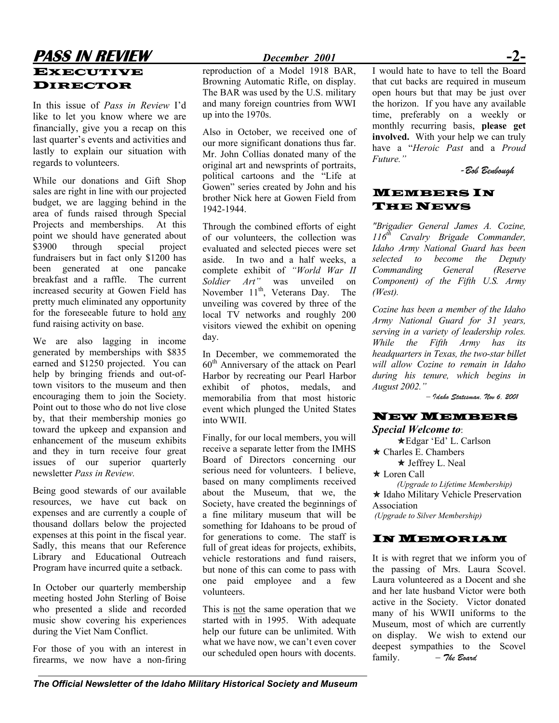# **PASS IN REVIEW** *December 2001* **-2-**  EXECUTIVE DIRECTOR

In this issue of *Pass in Review* I'd like to let you know where we are financially, give you a recap on this last quarter's events and activities and lastly to explain our situation with regards to volunteers.

While our donations and Gift Shop sales are right in line with our projected budget, we are lagging behind in the area of funds raised through Special Projects and memberships. At this point we should have generated about \$3900 through special project fundraisers but in fact only \$1200 has been generated at one pancake breakfast and a raffle. The current increased security at Gowen Field has pretty much eliminated any opportunity for the foreseeable future to hold any fund raising activity on base.

We are also lagging in income generated by memberships with \$835 earned and \$1250 projected. You can help by bringing friends and out-oftown visitors to the museum and then encouraging them to join the Society. Point out to those who do not live close by, that their membership monies go toward the upkeep and expansion and enhancement of the museum exhibits and they in turn receive four great issues of our superior quarterly newsletter *Pass in Review.* 

Being good stewards of our available resources, we have cut back on expenses and are currently a couple of thousand dollars below the projected expenses at this point in the fiscal year. Sadly, this means that our Reference Library and Educational Outreach Program have incurred quite a setback.

In October our quarterly membership meeting hosted John Sterling of Boise who presented a slide and recorded music show covering his experiences during the Viet Nam Conflict.

For those of you with an interest in firearms, we now have a non-firing

reproduction of a Model 1918 BAR, Browning Automatic Rifle, on display. The BAR was used by the U.S. military and many foreign countries from WWI up into the 1970s.

Also in October, we received one of our more significant donations thus far. Mr. John Collias donated many of the original art and newsprints of portraits, political cartoons and the "Life at Gowen" series created by John and his brother Nick here at Gowen Field from 1942-1944.

Through the combined efforts of eight of our volunteers, the collection was evaluated and selected pieces were set aside. In two and a half weeks, a complete exhibit of *"World War II Soldier Art"* was unveiled on November  $11<sup>th</sup>$ , Veterans Day. The unveiling was covered by three of the local TV networks and roughly 200 visitors viewed the exhibit on opening day.

In December, we commemorated the  $60<sup>th</sup>$  Anniversary of the attack on Pearl Harbor by recreating our Pearl Harbor exhibit of photos, medals, and memorabilia from that most historic event which plunged the United States into WWII.

Finally, for our local members, you will receive a separate letter from the IMHS Board of Directors concerning our serious need for volunteers. I believe, based on many compliments received about the Museum, that we, the Society, have created the beginnings of a fine military museum that will be something for Idahoans to be proud of for generations to come. The staff is full of great ideas for projects, exhibits, vehicle restorations and fund raisers, but none of this can come to pass with one paid employee and a few volunteers.

This is not the same operation that we started with in 1995. With adequate help our future can be unlimited. With what we have now, we can't even cover our scheduled open hours with docents.

I would hate to have to tell the Board that cut backs are required in museum open hours but that may be just over the horizon. If you have any available time, preferably on a weekly or monthly recurring basis, **please get involved.** With your help we can truly have a "*Heroic Past* and a *Proud Future."* 

*-Bob Benbough* 

### MEMBERS IN **THE NEWS**

*"Brigadier General James A. Cozine, 116th Cavalry Brigade Commander, Idaho Army National Guard has been selected to become the Deputy Commanding General (Reserve Component) of the Fifth U.S. Army (West).* 

*Cozine has been a member of the Idaho Army National Guard for 31 years, serving in a variety of leadership roles. While the Fifth Army has its headquarters in Texas, the two-star billet will allow Cozine to remain in Idaho during his tenure, which begins in August 2002."* 

*– Idaho Statesman, Nov 6, 2001* 

### NEW MEMBERS

### *Special Welcome to*:

ÕEdgar 'Ed' L. Carlson  $\star$  Charles E. Chambers  $\star$  Jeffrey L. Neal  $\star$  Loren Call

*(Upgrade to Lifetime Membership)* \* Idaho Military Vehicle Preservation Association  *(Upgrade to Silver Membership)*

### IN MEMORIAM

It is with regret that we inform you of the passing of Mrs. Laura Scovel. Laura volunteered as a Docent and she and her late husband Victor were both active in the Society. Victor donated many of his WWII uniforms to the Museum, most of which are currently on display. We wish to extend our deepest sympathies to the Scovel family. *– The Board*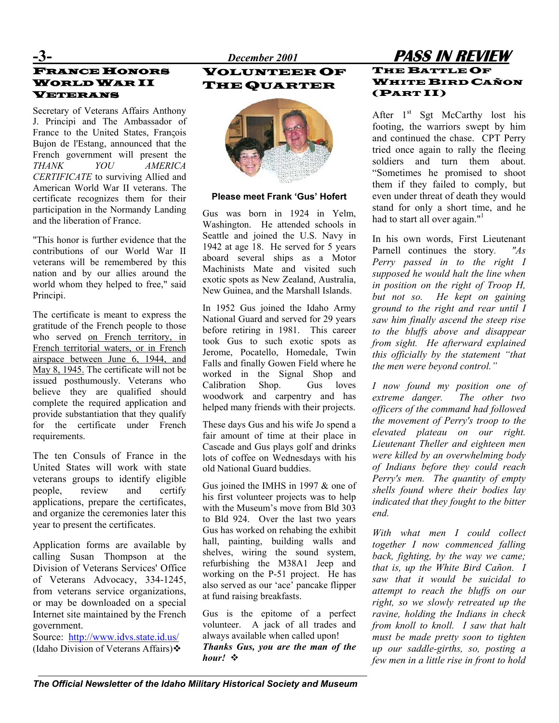# FRANCE HONORS WORLD WAR II VETERANS

Secretary of Veterans Affairs Anthony J. Principi and The Ambassador of France to the United States, François Bujon de l'Estang, announced that the French government will present the *THANK YOU AMERICA CERTIFICATE* to surviving Allied and American World War II veterans. The certificate recognizes them for their participation in the Normandy Landing and the liberation of France.

"This honor is further evidence that the contributions of our World War II veterans will be remembered by this nation and by our allies around the world whom they helped to free," said Principi.

The certificate is meant to express the gratitude of the French people to those who served on French territory, in French territorial waters, or in French airspace between June 6, 1944, and May 8, 1945. The certificate will not be issued posthumously. Veterans who believe they are qualified should complete the required application and provide substantiation that they qualify for the certificate under French requirements.

The ten Consuls of France in the United States will work with state veterans groups to identify eligible people, review and certify applications, prepare the certificates, and organize the ceremonies later this year to present the certificates.

Application forms are available by calling Susan Thompson at the Division of Veterans Services' Office of Veterans Advocacy, 334-1245, from veterans service organizations, or may be downloaded on a special Internet site maintained by the French government.

(Idaho Division of Veterans Affairs) **❖** 

# **-3-** *December 2001* **PASS IN REVIEW** VOLUNTEER OF THE QUARTER



### **Please meet Frank 'Gus' Hofert**

Gus was born in 1924 in Yelm, Washington. He attended schools in Seattle and joined the U.S. Navy in 1942 at age 18. He served for 5 years aboard several ships as a Motor Machinists Mate and visited such exotic spots as New Zealand, Australia, New Guinea, and the Marshall Islands.

In 1952 Gus joined the Idaho Army National Guard and served for 29 years before retiring in 1981. This career took Gus to such exotic spots as Jerome, Pocatello, Homedale, Twin Falls and finally Gowen Field where he worked in the Signal Shop and Calibration Shop. Gus loves woodwork and carpentry and has helped many friends with their projects.

These days Gus and his wife Jo spend a fair amount of time at their place in Cascade and Gus plays golf and drinks lots of coffee on Wednesdays with his old National Guard buddies.

Gus joined the IMHS in 1997 & one of his first volunteer projects was to help with the Museum's move from Bld 303 to Bld 924. Over the last two years Gus has worked on rehabing the exhibit hall, painting, building walls and shelves, wiring the sound system, refurbishing the M38A1 Jeep and working on the P-51 project. He has also served as our 'ace' pancake flipper at fund raising breakfasts.

Gus is the epitome of a perfect volunteer. A jack of all trades and Source:  $\frac{http://www.idvs.state.id.us/}{http://www.idvs.state.id.us/}$  $\frac{http://www.idvs.state.id.us/}{http://www.idvs.state.id.us/}$  $\frac{http://www.idvs.state.id.us/}{http://www.idvs.state.id.us/}$  always available when called upon!<br>(Idaho Division of Veterans Affairs): Thanks Gus, you are the man of the *hour!* 

## THE BATTLE OF WHITE BIRD CAÑON (PART II)

After  $1<sup>st</sup>$  Sgt McCarthy lost his footing, the warriors swept by him and continued the chase. CPT Perry tried once again to rally the fleeing soldiers and turn them about. "Sometimes he promised to shoot them if they failed to comply, but even under threat of death they would stand for only a short time, and he had to start all over again." $1$ 

In his own words, First Lieutenant Parnell continues the story*. "As Perry passed in to the right I supposed he would halt the line when in position on the right of Troop H, but not so. He kept on gaining ground to the right and rear until I saw him finally ascend the steep rise to the bluffs above and disappear from sight. He afterward explained this officially by the statement "that the men were beyond control."* 

*I now found my position one of extreme danger. The other two officers of the command had followed the movement of Perry's troop to the elevated plateau on our right. Lieutenant Theller and eighteen men were killed by an overwhelming body of Indians before they could reach Perry's men. The quantity of empty shells found where their bodies lay indicated that they fought to the bitter end.* 

*With what men I could collect together I now commenced falling back, fighting, by the way we came; that is, up the White Bird Cañon. I saw that it would be suicidal to attempt to reach the bluffs on our right, so we slowly retreated up the ravine, holding the Indians in check from knoll to knoll. I saw that halt must be made pretty soon to tighten up our saddle-girths, so, posting a few men in a little rise in front to hold*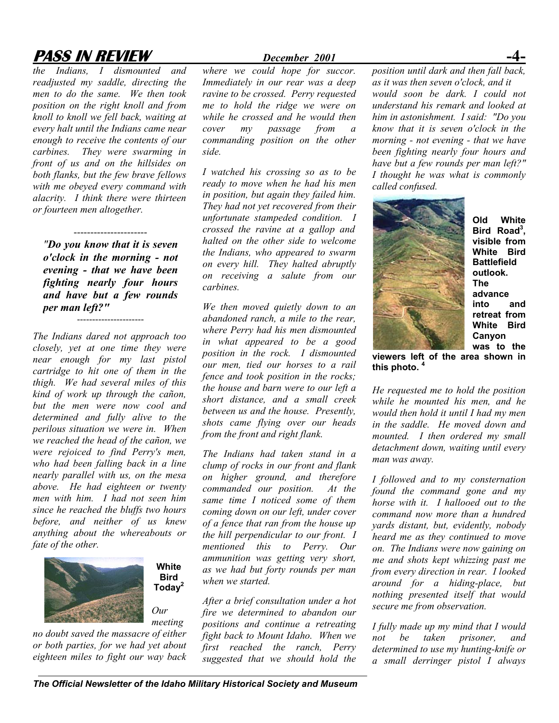# **PASS IN REVIEW** *December 2001*

*the Indians, I dismounted and readjusted my saddle, directing the men to do the same. We then took position on the right knoll and from knoll to knoll we fell back, waiting at every halt until the Indians came near enough to receive the contents of our carbines. They were swarming in front of us and on the hillsides on both flanks, but the few brave fellows with me obeyed every command with alacrity. I think there were thirteen or fourteen men altogether.*

*"Do you know that it is seven o'clock in the morning - not evening - that we have been fighting nearly four hours and have but a few rounds per man left?"*

----------------------

----------------------

*The Indians dared not approach too closely, yet at one time they were near enough for my last pistol cartridge to hit one of them in the thigh. We had several miles of this kind of work up through the cañon, but the men were now cool and determined and fully alive to the perilous situation we were in. When we reached the head of the cañon, we were rejoiced to find Perry's men, who had been falling back in a line nearly parallel with us, on the mesa above. He had eighteen or twenty men with him. I had not seen him since he reached the bluffs two hours before, and neither of us knew anything about the whereabouts or fate of the other.* 



**Bird Today2** *Our meeting* 

**White** 

*no doubt saved the massacre of either or both parties, for we had yet about eighteen miles to fight our way back* 

*where we could hope for succor. Immediately in our rear was a deep ravine to be crossed. Perry requested me to hold the ridge we were on while he crossed and he would then cover my passage from a commanding position on the other side.* 

*I watched his crossing so as to be ready to move when he had his men in position, but again they failed him. They had not yet recovered from their unfortunate stampeded condition. I crossed the ravine at a gallop and halted on the other side to welcome the Indians, who appeared to swarm on every hill. They halted abruptly on receiving a salute from our carbines.* 

*We then moved quietly down to an abandoned ranch, a mile to the rear, where Perry had his men dismounted in what appeared to be a good position in the rock. I dismounted our men, tied our horses to a rail fence and took position in the rocks; the house and barn were to our left a short distance, and a small creek between us and the house. Presently, shots came flying over our heads from the front and right flank.* 

*The Indians had taken stand in a clump of rocks in our front and flank on higher ground, and therefore commanded our position. At the same time I noticed some of them coming down on our left, under cover of a fence that ran from the house up the hill perpendicular to our front. I mentioned this to Perry. Our ammunition was getting very short, as we had but forty rounds per man when we [st](#page--1-1)arted.* 

*After a brief consultation under a hot fire we determined to abandon our positions and continue a retreating fight back to Mount Idaho. When we first reached the ranch, Perry suggested that we should hold the* 

*position until dark and then fall back, as it was then seven o'clock, and it would soon be dark. I could not understand his remark and looked at him in astonishment. I said: "Do you know that it is seven o'clock in the morning - not evening - that we have been fighting nearly four hours and have but a few rounds per man left?" I thought he was what is commonly called confused.* 



**Old White** Bird Road<sup>3</sup>, **visible from White Bird Battlefield outlook. The advance into and retreat from White Bird Canyon was to the**

**viewers left of the area shown in this photo. [4](#page--1-3)**

*He requested me to hold the position while he mounted his men, and he would then hold it until I had my men in the saddle. He moved down and mounted. I then ordered my small detachment down, waiting until every man was away.* 

*I followed and to my consternation found the command gone and my horse with it. I hallooed out to the command now more than a hundred yards distant, but, evidently, nobody heard me as they continued to move on. The Indians were now gaining on me and shots kept whizzing past me from every direction in rear. I looked around for a hiding-place, but nothing presented itself that would secure me from observation.* 

*I fully made up my mind that I would not be taken prisoner, and determined to use my hunting-knife or a small derringer pistol I always*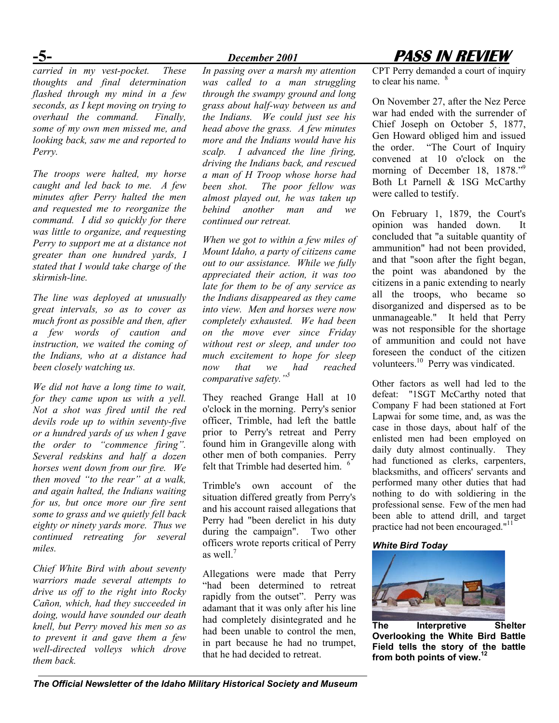*carried in my vest-pocket. These thoughts and final determination flashed through my mind in a few seconds, as I kept moving on trying to overhaul the command. Finally, some of my own men missed me, and looking back, saw me and reported to Perry.* 

*The troops were halted, my horse caught and led back to me. A few minutes after Perry halted the men and requested me to reorganize the command. I did so quickly for there was little to organize, and requesting Perry to support me at a distance not greater than one hundred yards, I stated that I would take charge of the skirmish-line.* 

*The line was deployed at unusually great intervals, so as to cover as much front as possible and then, after a few words of caution and instruction, we waited the coming of the Indians, who at a distance had been closely watching us.* 

*We did not have a long time to wait, for they came upon us with a yell. Not a shot was fired until the red devils rode up to within seventy-five or a hundred yards of us when I gave the order to "commence firing". Several redskins and half a dozen horses went down from our fire. We then moved "to the rear" at a walk, and again halted, the Indians waiting for us, but once more our fire sent some to grass and we quietly fell back eighty or ninety yards more. Thus we continued retreating for several miles.* 

*Chief White Bird with about seventy warriors made several attempts to drive us off to the right into Rocky Cañon, which, had they succeeded in doing, would have sounded our death knell, but Perry moved his men so as to prevent it and gave them a few well-directed volleys which drove them back.* 

*In passing over a marsh my attention was called to a man struggling through the swampy ground and long grass about half-way between us and the Indians. We could just see his head above the grass. A few minutes more and the Indians would have his scalp. I advanced the line firing, driving the Indians back, and rescued a man of H Troop whose horse had been shot. The poor fellow was almost played out, he was taken up behind another man and we continued our retreat.* 

*When we got to within a few miles of Mount Idaho, a party of citizens came out to our assistance. While we fully appreciated their action, it was too late for them to be of any service as the Indians disappeared as they came into view. Men and horses were now completely exhausted. We had been on the move ever since Friday without rest or sleep, and under too much excitement to hope for sleep now that we had reached comparative safety."<sup>5</sup>* 

They reached Grange Hall at 10 o'clock in the morning. Perry's senior officer, Trimble, had left the battle prior to Perry's retreat and Perry found him in Grangeville along with other men of both companies. Perry felt that Trimble had deserted him.  $<sup>6</sup>$  $<sup>6</sup>$  $<sup>6</sup>$ </sup>

Trimble's own account of the situation differed greatly from Perry's and his account raised allegations that Perry had "been derelict in his duty during the campaign". Two other officers wrote reports critical of Perry as well $^7$  $^7$ 

Allegations were made that Perry "had been determined to retreat rapidly from the outset". Perry was adamant that it was only after his line had completely disintegrated and he had been unable to control the men, in part because he had no trumpet, that he had decided to retreat.

# **-5-** *December 2001* **PASS IN REVIEW**

CPT Perry demanded a court of inquiry to clear his name.

On November 27, after the Nez Perce war had ended with the surrender of Chief Joseph on October 5, 1877, Gen Howard obliged him and issued the order. "The Court of Inquiry convened at 10 o'clock on the morning of December 18, 1878."<sup>[9](#page--1-7)</sup> Both Lt Parnell & 1SG McCarthy were called to testify.

On February 1, 1879, the Court's opinion was handed down. It concluded that "a suitable quantity of ammunition" had not been provided, and that "soon after the fight began, the point was abandoned by the citizens in a panic extending to nearly all the troops, who became so disorganized and dispersed as to be unmanageable." It held that Perry was not responsible for the shortage of ammunition and could not have foreseen the conduct of the citizen volunteers.<sup>10</sup> Perry was vindicated.

Other factors as well had led to the defeat: "1SGT McCarthy noted that Company F had been stationed at Fort Lapwai for some time, and, as was the case in those days, about half of the enlisted men had been employed on daily duty almost continually. They had functioned as clerks, carpenters, blacksmiths, and officers' servants and performed many other duties that had nothing to do with soldiering in the professional sense. Few of the men had been able to attend drill, and target practice had not been encouraged."<sup>11</sup>

### *White Bird Today*



**The Interpretive Shelter Overlooking the White Bird Battle Field tells the story of the battle from both points of view. [12](#page--1-10)**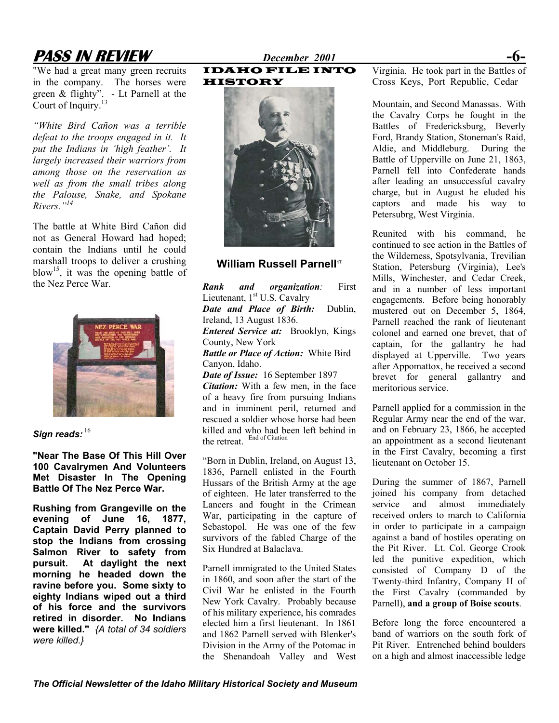# **PASS IN REVIEW** *December 2001* **-6-**

"We had a great many green recruits in the company. The horses were green & flighty". - Lt Parnell at the Court of Inquiry.<sup>13</sup>

*"White Bird Cañon was a terrible defeat to the troops engaged in it. It put the Indians in 'high feather'. It largely increased their warriors from among those on the reservation as well as from the small tribes along the Palouse, Snake, and Spokane Rivers."[14](#page--1-12)*

The battle at White Bird Cañon did not as General Howard had hoped; contain the Indians until he could marshall troops to deliver a crushing blow<sup>15</sup>, it was the opening battle of the Nez Perce War.



Sign reads: [16](#page--1-14)

**"Near The Base Of This Hill Over 100 Cavalrymen And Volunteers Met Disaster In The Opening Battle Of The Nez Perce War.** 

**Rushing from Grangeville on the evening of June 16, 1877, Captain David Perry planned to stop the Indians from crossing Salmon River to safety from pursuit. At daylight the next morning he headed down the ravine before you. Some sixty to eighty Indians wiped out a third of his force and the survivors retired in disorder. No Indians were killed."** *{A total of 34 soldiers were killed.}*

IDAHO FILE INTO HISTORY



### **William Russell Parnell[17](#page--1-15)**

*Rank and organization:* First Lieutenant, 1<sup>st</sup> U.S. Cavalry *Date and Place of Birth:* Dublin, Ireland, 13 August 1836. *Entered Service at:*Brooklyn, Kings County, New York *Battle or Place of Action:* White Bird Canyon, Idaho. *Date of Issue:* 16 September 1897 *Citation:* With a few men, in the face

of a heavy fire from pursuing Indians and in imminent peril, returned and rescued a soldier whose horse had been killed and who had been left behind in the retreat.

"Born in Dublin, Ireland, on August 13, 1836, Parnell enlisted in the Fourth Hussars of the British Army at the age of eighteen. He later transferred to the Lancers and fought in the Crimean War, participating in the capture of Sebastopol. He was one of the few survivors of the fabled Charge of the Six Hundred at Balaclava.

Parnell immigrated to the United States in 1860, and soon after the start of the Civil War he enlisted in the Fourth New York Cavalry. Probably because of his military experience, his comrades elected him a first lieutenant. In 1861 and 1862 Parnell served with Blenker's Division in the Army of the Potomac in the Shenandoah Valley and West Virginia. He took part in the Battles of Cross Keys, Port Republic, Cedar

Mountain, and Second Manassas. With the Cavalry Corps he fought in the Battles of Fredericksburg, Beverly Ford, Brandy Station, Stoneman's Raid, Aldie, and Middleburg. During the Battle of Upperville on June 21, 1863, Parnell fell into Confederate hands after leading an unsuccessful cavalry charge, but in August he eluded his captors and made his way to Petersubrg, West Virginia.

Reunited with his command, he continued to see action in the Battles of the Wilderness, Spotsylvania, Trevilian Station, Petersburg (Virginia), Lee's Mills, Winchester, and Cedar Creek, and in a number of less important engagements. Before being honorably mustered out on December 5, 1864, Parnell reached the rank of lieutenant colonel and earned one brevet, that of captain, for the gallantry he had displayed at Upperville. Two years after Appomattox, he received a second brevet for general gallantry and meritorious service.

Parnell applied for a commission in the Regular Army near the end of the war, and on February 23, 1866, he accepted an appointment as a second lieutenant in the First Cavalry, becoming a first lieutenant on October 15.

During the summer of 1867, Parnell joined his company from detached service and almost immediately received orders to march to California in order to participate in a campaign against a band of hostiles operating on the Pit River. Lt. Col. George Crook led the punitive expedition, which consisted of Company D of the Twenty-third Infantry, Company H of the First Cavalry (commanded by Parnell), **and a group of Boise scouts**.

Before long the force encountered a band of warriors on the south fork of Pit River. Entrenched behind boulders on a high and almost inaccessible ledge

*The Official Newsletter of the Idaho Military Historical Society and Museum*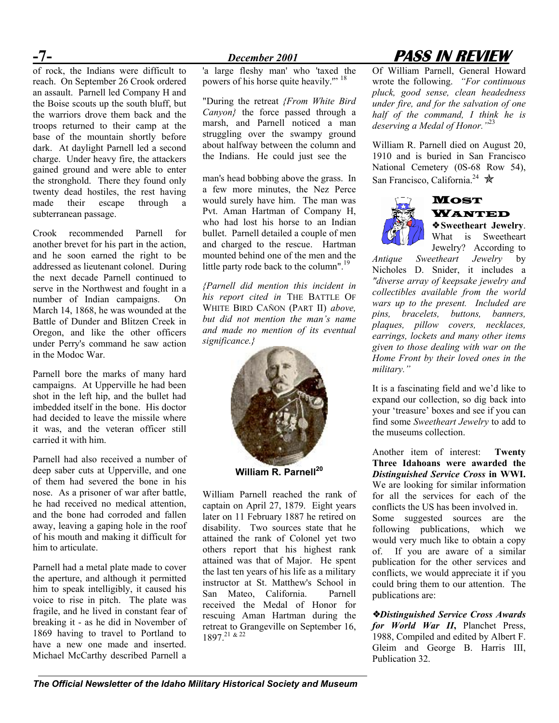of rock, the Indians were difficult to reach. On September 26 Crook ordered an assault. Parnell led Company H and the Boise scouts up the south bluff, but the warriors drove them back and the troops returned to their camp at the base of the mountain shortly before dark. At daylight Parnell led a second charge. Under heavy fire, the attackers gained ground and were able to enter the stronghold. There they found only twenty dead hostiles, the rest having made their escape through a subterranean passage.

Crook recommended Parnell for another brevet for his part in the action, and he soon earned the right to be addressed as lieutenant colonel. During the next decade Parnell continued to serve in the Northwest and fought in a number of Indian campaigns. On March 14, 1868, he was wounded at the Battle of Dunder and Blitzen Creek in Oregon, and like the other officers under Perry's command he saw action in the Modoc War.

Parnell bore the marks of many hard campaigns. At Upperville he had been shot in the left hip, and the bullet had imbedded itself in the bone. His doctor had decided to leave the missile where it was, and the veteran officer still carried it with him.

Parnell had also received a number of deep saber cuts at Upperville, and one of them had severed the bone in his nose. As a prisoner of war after battle, he had received no medical attention, and the bone had corroded and fallen away, leaving a gaping hole in the roof of his mouth and making it difficult for him to articulate.

Parnell had a metal plate made to cover the aperture, and although it permitted him to speak intelligibly, it caused his voice to rise in pitch. The plate was fragile, and he lived in constant fear of breaking it - as he did in November of 1869 having to travel to Portland to have a new one made and inserted. Michael McCarthy described Parnell a

'a large fleshy man' who 'taxed the powers of his horse quite heavily."<sup>[18](#page--1-6)</sup>

"During the retreat *{From White Bird Canyon}* the force passed through a marsh, and Parnell noticed a man struggling over the swampy ground about halfway between the column and the Indians. He could just see the

man'shead bobbing above the grass. In San Francisco, California.<sup>24</sup>  $\star$ a few more minutes, the Nez Perce would surely have him. The man was Pvt. Aman Hartman of Company H, who had lost his horse to an Indian bullet. Parnell detailed a couple of men and charged to the rescue. Hartman mounted behind one of the men and the little party rode back to the column".<sup>19</sup>

*{Parnell did mention this incident in his report cited in* THE BATTLE OF WHITE BIRD CAÑON (PART II) *above, but did not mention the man's name and made no mention of its eventual significance.}*



**William R. Parnell[20](#page--1-17)**

William Parnell reached the rank of captain on April 27, 1879. Eight years later on 11 February 1887 he retired on disability. Two sources state that he attained the rank of Colonel yet two others report that his highest rank attained was that of Major. He spent the last ten years of his life as a military instructor at St. Matthew's School in San Mateo, California. Parnell received the Medal of Honor for rescuing Aman Hartman during the retreat to Grangeville on September 16, 1897.[21](#page--1-18) & [22](#page--1-19)

# **-7-** *December 2001* **PASS IN REVIEW**

Of William Parnell, General Howard wrote the following. *"For continuous pluck, good sense, clean headedness under fire, and for the salvation of one half of the command, I think he is deserving a Medal of Honor."*[23](#page--1-20) 

William R. Parnell died on August 20, 1910 and is buried in San Francisco National Cemetery (0S-68 Row 54),



# **MOST** WANTED

❖ **Sweetheart Jewelry**. What is Sweetheart Jewelry? According to

*Antique Sweetheart Jewelry* by Nicholes D. Snider, it includes a *"diverse array of keepsake jewelry and collectibles available from the world wars up to the present. Included are pins, bracelets, buttons, banners, plaques, pillow covers, necklaces, earrings, lockets and many other items given to those dealing with war on the Home Front by their loved ones in the military."* 

It is a fascinating field and we'd like to expand our collection, so dig back into your 'treasure' boxes and see if you can find some *Sweetheart Jewelry* to add to the museums collection.

Another item of interest: **Twenty Three Idahoans were awarded the**  *Distinguished Service Cross* **in WWI.** We are looking for similar information for all the services for each of the conflicts the US has been involved in. Some suggested sources are the following publications, which we would very much like to obtain a copy of. If you are aware of a similar publication for the other services and conflicts, we would appreciate it if you could bring them to our attention. The publications are:

❖*Distinguished Service Cross Awards for World War II***,** Planchet Press, 1988, Compiled and edited by Albert F. Gleim and George B. Harris III, Publication 32.